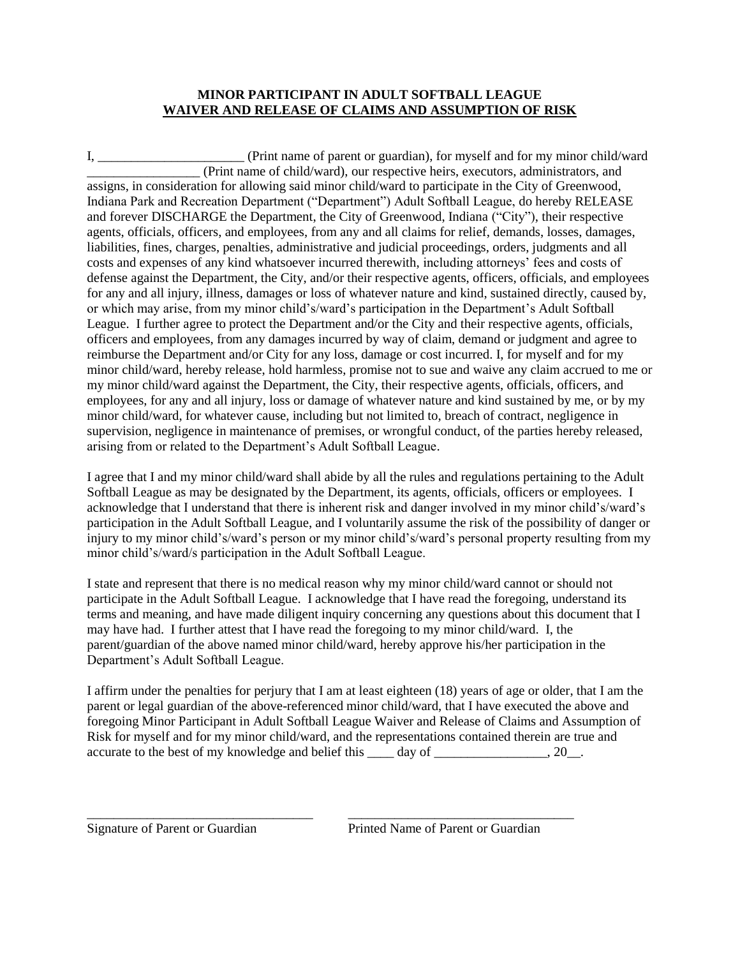## **MINOR PARTICIPANT IN ADULT SOFTBALL LEAGUE WAIVER AND RELEASE OF CLAIMS AND ASSUMPTION OF RISK**

I, \_\_\_\_\_\_\_\_\_\_\_\_\_\_\_\_\_\_\_\_\_\_ (Print name of parent or guardian), for myself and for my minor child/ward \_\_\_\_\_\_\_\_\_\_\_\_\_\_\_\_\_ (Print name of child/ward), our respective heirs, executors, administrators, and assigns, in consideration for allowing said minor child/ward to participate in the City of Greenwood, Indiana Park and Recreation Department ("Department") Adult Softball League, do hereby RELEASE and forever DISCHARGE the Department, the City of Greenwood, Indiana ("City"), their respective agents, officials, officers, and employees, from any and all claims for relief, demands, losses, damages, liabilities, fines, charges, penalties, administrative and judicial proceedings, orders, judgments and all costs and expenses of any kind whatsoever incurred therewith, including attorneys' fees and costs of defense against the Department, the City, and/or their respective agents, officers, officials, and employees for any and all injury, illness, damages or loss of whatever nature and kind, sustained directly, caused by, or which may arise, from my minor child's/ward's participation in the Department's Adult Softball League. I further agree to protect the Department and/or the City and their respective agents, officials, officers and employees, from any damages incurred by way of claim, demand or judgment and agree to reimburse the Department and/or City for any loss, damage or cost incurred. I, for myself and for my minor child/ward, hereby release, hold harmless, promise not to sue and waive any claim accrued to me or my minor child/ward against the Department, the City, their respective agents, officials, officers, and employees, for any and all injury, loss or damage of whatever nature and kind sustained by me, or by my minor child/ward, for whatever cause, including but not limited to, breach of contract, negligence in supervision, negligence in maintenance of premises, or wrongful conduct, of the parties hereby released, arising from or related to the Department's Adult Softball League.

I agree that I and my minor child/ward shall abide by all the rules and regulations pertaining to the Adult Softball League as may be designated by the Department, its agents, officials, officers or employees. I acknowledge that I understand that there is inherent risk and danger involved in my minor child's/ward's participation in the Adult Softball League, and I voluntarily assume the risk of the possibility of danger or injury to my minor child's/ward's person or my minor child's/ward's personal property resulting from my minor child's/ward/s participation in the Adult Softball League.

I state and represent that there is no medical reason why my minor child/ward cannot or should not participate in the Adult Softball League. I acknowledge that I have read the foregoing, understand its terms and meaning, and have made diligent inquiry concerning any questions about this document that I may have had. I further attest that I have read the foregoing to my minor child/ward. I, the parent/guardian of the above named minor child/ward, hereby approve his/her participation in the Department's Adult Softball League.

I affirm under the penalties for perjury that I am at least eighteen (18) years of age or older, that I am the parent or legal guardian of the above-referenced minor child/ward, that I have executed the above and foregoing Minor Participant in Adult Softball League Waiver and Release of Claims and Assumption of Risk for myself and for my minor child/ward, and the representations contained therein are true and accurate to the best of my knowledge and belief this \_\_\_\_ day of \_\_\_\_\_\_\_\_\_\_\_\_\_, 20\_\_.

\_\_\_\_\_\_\_\_\_\_\_\_\_\_\_\_\_\_\_\_\_\_\_\_\_\_\_\_\_\_\_\_\_\_ \_\_\_\_\_\_\_\_\_\_\_\_\_\_\_\_\_\_\_\_\_\_\_\_\_\_\_\_\_\_\_\_\_\_

Signature of Parent or Guardian Printed Name of Parent or Guardian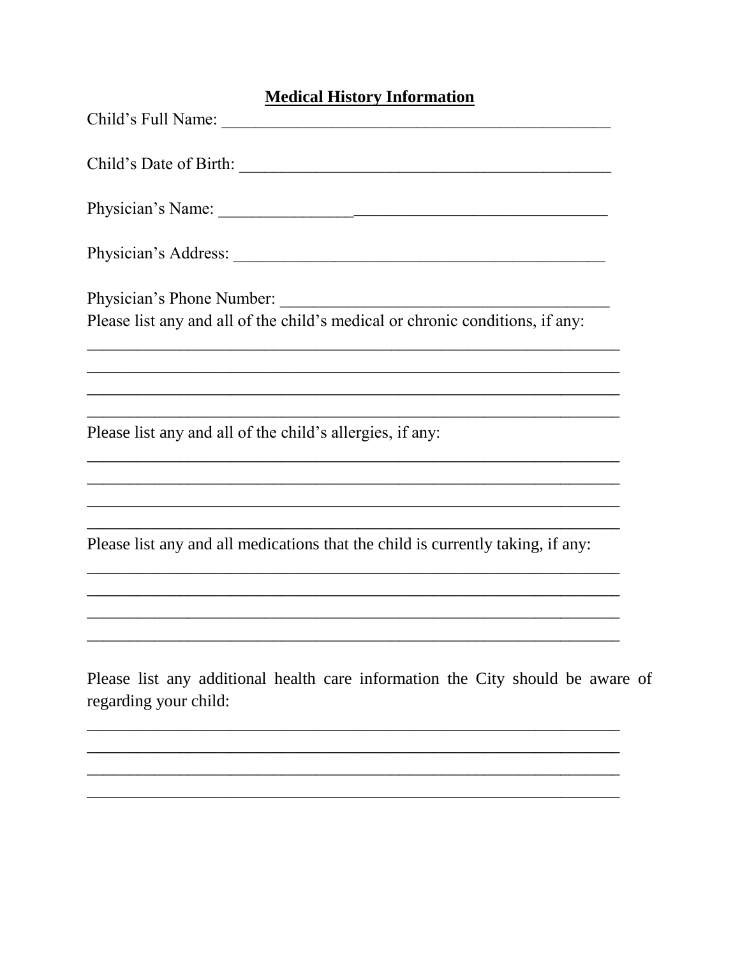## **Medical History Information**

| Physician's Phone Number:                                                                               |
|---------------------------------------------------------------------------------------------------------|
| Please list any and all of the child's medical or chronic conditions, if any:                           |
|                                                                                                         |
| Please list any and all of the child's allergies, if any:                                               |
|                                                                                                         |
|                                                                                                         |
| Please list any and all medications that the child is currently taking, if any:                         |
|                                                                                                         |
|                                                                                                         |
| Please list any additional health care information the City should be aware of<br>regarding your child: |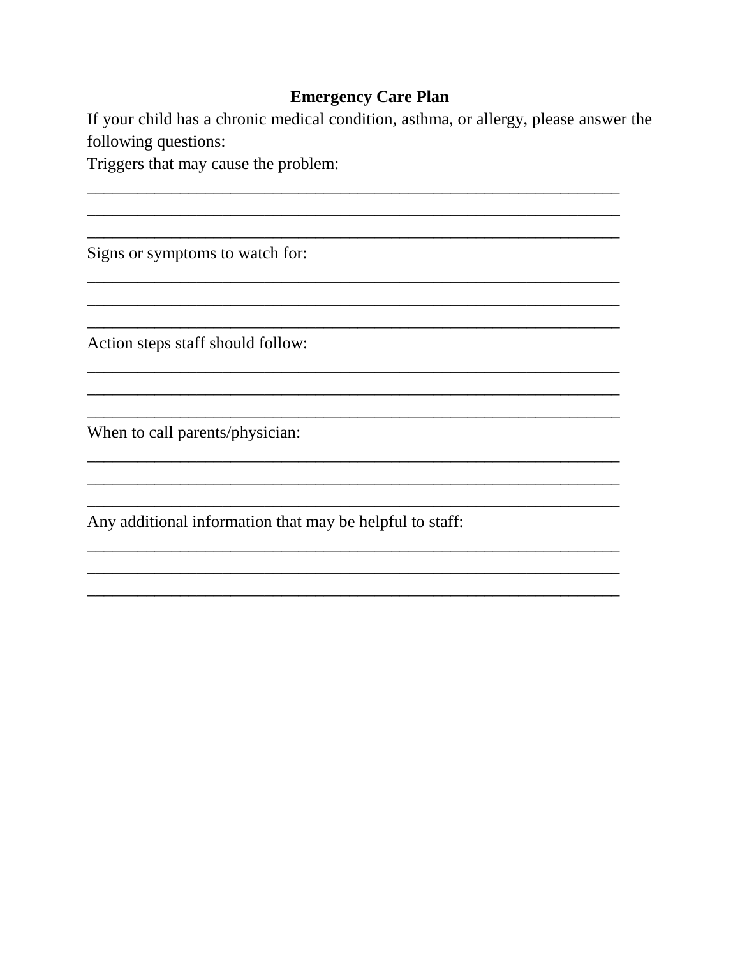## **Emergency Care Plan**

If your child has a chronic medical condition, asthma, or allergy, please answer the following questions:

Triggers that may cause the problem:

Signs or symptoms to watch for:

Action steps staff should follow:

When to call parents/physician:

Any additional information that may be helpful to staff: